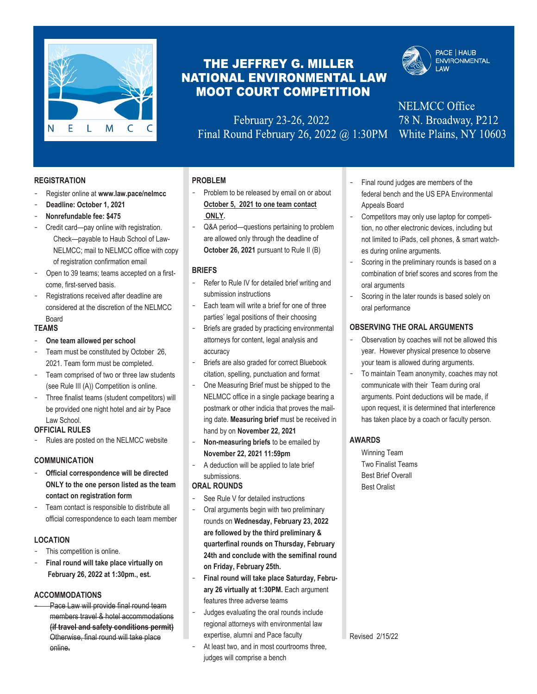

# THE JEFFREY G. MILLER **NATIONAL ENVIRONMENTAL LAW MOOT COURT COMPETITION**

 ONLINE FACT SHEET February 23-26, 2022 Final Round February 26, 2022  $@$  1:30PM



**PACE | HAUB ENVIRONMENTAL I AW** 

**Preston Hall** *XIND*  $\mathcal{B} = \mathcal{B} \mathbf{0} \mathbf{M} \mathbf{D}$ **nella incl**odus de la pace de la pace de la pace de la pace de la pace de la pace de la pace de la pace de la White Plains, NY 10603

#### **REGISTRATION**

- Register online at **www.law.pace/nelmcc**
- **Deadline: October 1, 2021**
- **Nonrefundable fee: \$475**
- Credit card—pay online with registration. Check—payable to Haub School of Law-NELMCC; mail to NELMCC office with copy of registration confirmation email
- Open to 39 teams; teams accepted on a firstcome, first-served basis.
- Registrations received after deadline are considered at the discretion of the NELMCC Board

#### **TEAMS**

- One team allowed per school
- Team must be constituted by October 26, 2021. Team form must be completed.
- Team comprised of two or three law students (see Rule III (A)) Competition is online.
- Three finalist teams (student competitors) will be provided one night hotel and air by Pace Law School.

#### **OFFICIAL RULES**

Rules are posted on the NELMCC website

#### **COMMUNICATION**

- **Official correspondence will be directed ONLY to the one person listed as the team contact on registration form**
- Team contact is responsible to distribute all official correspondence to each team member

#### **LOCATION**

- This competition is online.
- **Final round will take place virtually on February 26, 2022 at 1:30pm., est.**

#### **ACCOMMODATIONS**

Pace Law will provide final round team members travel & hotel accommodations **(if travel and safety conditions permit)**  Otherwise, final round will take place online**.**

### **PROBLEM**

- Problem to be released by email on or about **October 5, 2021 to one team contact ONLY.**
- Q&A period-questions pertaining to problem are allowed only through the deadline of **October 26, 2021 pursuant to Rule II (B)**

#### **BRIEFS**

- Refer to Rule IV for detailed brief writing and submission instructions
- Each team will write a brief for one of three parties' legal positions of their choosing
- Briefs are graded by practicing environmental attorneys for content, legal analysis and accuracy
- Briefs are also graded for correct Bluebook citation, spelling, punctuation and format
- One Measuring Brief must be shipped to the NELMCC office in a single package bearing a postmark or other indicia that proves the mailing date. **Measuring brief** must be received in hand by on **November 22, 2021**
- **Non-measuring briefs** to be emailed by **November 22, 2021 11:59pm**
- A deduction will be applied to late brief submissions.

#### **ORAL ROUNDS**

- See Rule V for detailed instructions
- Oral arguments begin with two preliminary rounds on **Wednesday, February 23, 2022 are followed by the third preliminary & quarterfinal rounds on Thursday, February 24th and conclude with the semifinal round on Friday, February 25th.**
- **Final round will take place Saturday, February 26 virtually at 1:30PM.** Each argument features three adverse teams
- Judges evaluating the oral rounds include regional attorneys with environmental law expertise, alumni and Pace faculty
- At least two, and in most courtrooms three, judges will comprise a bench
- Final round judges are members of the federal bench and the US EPA Environmental Appeals Board
- Competitors may only use laptop for competition, no other electronic devices, including but not limited to iPads, cell phones, & smart watches during online arguments.
- Scoring in the preliminary rounds is based on a combination of brief scores and scores from the oral arguments
- Scoring in the later rounds is based solely on oral performance

#### **OBSERVING THE ORAL ARGUMENTS**

- Observation by coaches will not be allowed this year. However physical presence to observe your team is allowed during arguments.
- To maintain Team anonymity, coaches may not communicate with their Team during oral arguments. Point deductions will be made, if upon request, it is determined that interference has taken place by a coach or faculty person.

#### **AWARDS**

Winning Team Two Finalist Teams Best Brief Overall Best Oralist

Revised 2/15/22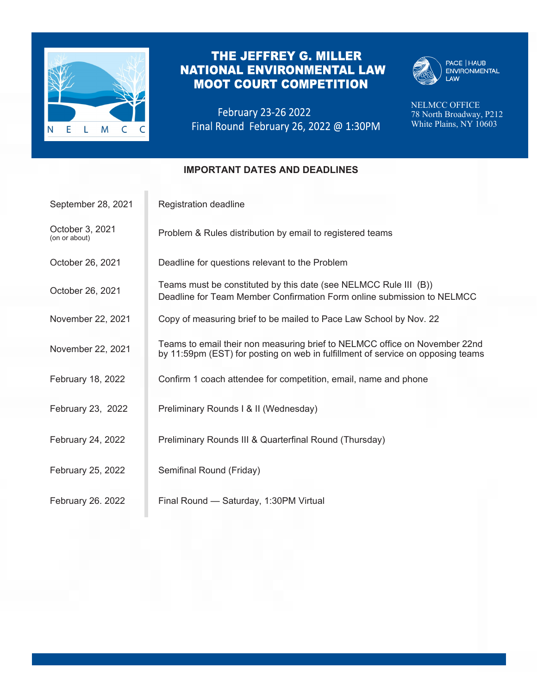

# THE JEFFREY G. MILLER **NATIONAL ENVIRONMENTAL LAW MOOT COURT COMPETITION**

February 23-26 2022



PACE | HAUB<br>ENVIRONMENTAL<br>LAW

**PRESS** PRESS NELMCC OFFICE **78 North Broadway White Plains North I nells network** *n* 78 North Broadway, P212 White Plains, NY 10603

### **IMPORTANT DATES AND DEADLINES**

| September 28, 2021               | Registration deadline                                                                                                                                         |
|----------------------------------|---------------------------------------------------------------------------------------------------------------------------------------------------------------|
| October 3, 2021<br>(on or about) | Problem & Rules distribution by email to registered teams                                                                                                     |
| October 26, 2021                 | Deadline for questions relevant to the Problem                                                                                                                |
| October 26, 2021                 | Teams must be constituted by this date (see NELMCC Rule III (B))<br>Deadline for Team Member Confirmation Form online submission to NELMCC                    |
| November 22, 2021                | Copy of measuring brief to be mailed to Pace Law School by Nov. 22                                                                                            |
| November 22, 2021                | Teams to email their non measuring brief to NELMCC office on November 22nd<br>by 11:59pm (EST) for posting on web in fulfillment of service on opposing teams |
| February 18, 2022                | Confirm 1 coach attendee for competition, email, name and phone                                                                                               |
| February 23, 2022                | Preliminary Rounds I & II (Wednesday)                                                                                                                         |
| February 24, 2022                | Preliminary Rounds III & Quarterfinal Round (Thursday)                                                                                                        |
| February 25, 2022                | Semifinal Round (Friday)                                                                                                                                      |
| February 26. 2022                | Final Round - Saturday, 1:30PM Virtual                                                                                                                        |